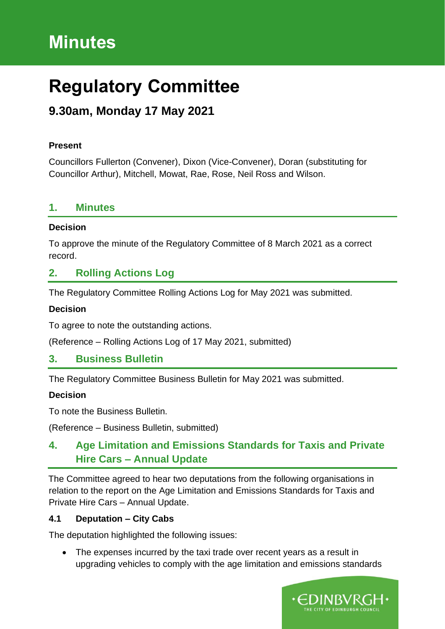# **Minutes**

# **Regulatory Committee**

# **9.30am, Monday 17 May 2021**

### **Present**

Councillors Fullerton (Convener), Dixon (Vice-Convener), Doran (substituting for Councillor Arthur), Mitchell, Mowat, Rae, Rose, Neil Ross and Wilson.

## **1. Minutes**

#### **Decision**

To approve the minute of the Regulatory Committee of 8 March 2021 as a correct record.

# **2. Rolling Actions Log**

The Regulatory Committee Rolling Actions Log for May 2021 was submitted.

#### **Decision**

To agree to note the outstanding actions.

(Reference – Rolling Actions Log of 17 May 2021, submitted)

## **3. Business Bulletin**

The Regulatory Committee Business Bulletin for May 2021 was submitted.

#### **Decision**

To note the Business Bulletin.

(Reference – Business Bulletin, submitted)

# **4. Age Limitation and Emissions Standards for Taxis and Private Hire Cars – Annual Update**

The Committee agreed to hear two deputations from the following organisations in relation to the report on the Age Limitation and Emissions Standards for Taxis and Private Hire Cars – Annual Update.

## **4.1 Deputation – City Cabs**

The deputation highlighted the following issues:

• The expenses incurred by the taxi trade over recent years as a result in upgrading vehicles to comply with the age limitation and emissions standards

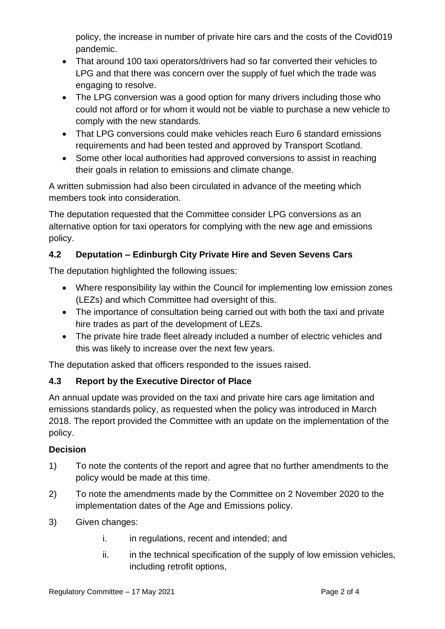policy, the increase in number of private hire cars and the costs of the Covid019 pandemic.

- That around 100 taxi operators/drivers had so far converted their vehicles to LPG and that there was concern over the supply of fuel which the trade was engaging to resolve.
- The LPG conversion was a good option for many drivers including those who could not afford or for whom it would not be viable to purchase a new vehicle to comply with the new standards.
- That LPG conversions could make vehicles reach Euro 6 standard emissions requirements and had been tested and approved by Transport Scotland.
- Some other local authorities had approved conversions to assist in reaching their goals in relation to emissions and climate change.

A written submission had also been circulated in advance of the meeting which members took into consideration.

The deputation requested that the Committee consider LPG conversions as an alternative option for taxi operators for complying with the new age and emissions policy.

# **4.2 Deputation – Edinburgh City Private Hire and Seven Sevens Cars**

The deputation highlighted the following issues:

- Where responsibility lay within the Council for implementing low emission zones (LEZs) and which Committee had oversight of this.
- The importance of consultation being carried out with both the taxi and private hire trades as part of the development of LEZs.
- The private hire trade fleet already included a number of electric vehicles and this was likely to increase over the next few years.

The deputation asked that officers responded to the issues raised.

## **4.3 Report by the Executive Director of Place**

An annual update was provided on the taxi and private hire cars age limitation and emissions standards policy, as requested when the policy was introduced in March 2018. The report provided the Committee with an update on the implementation of the policy.

## **Decision**

- 1) To note the contents of the report and agree that no further amendments to the policy would be made at this time.
- 2) To note the amendments made by the Committee on 2 November 2020 to the implementation dates of the Age and Emissions policy.
- 3) Given changes:
	- i. in regulations, recent and intended; and
	- ii. in the technical specification of the supply of low emission vehicles, including retrofit options,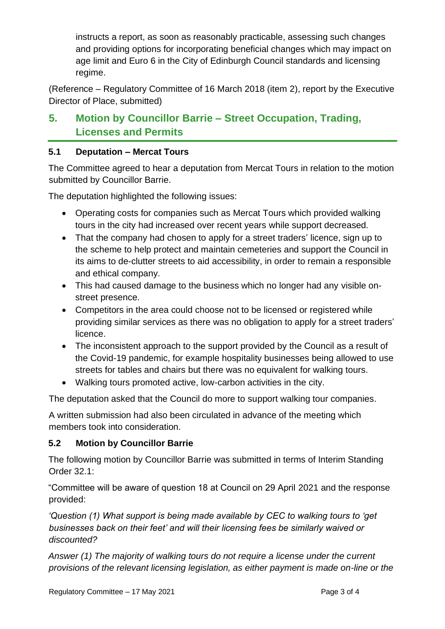instructs a report, as soon as reasonably practicable, assessing such changes and providing options for incorporating beneficial changes which may impact on age limit and Euro 6 in the City of Edinburgh Council standards and licensing regime.

(Reference – Regulatory Committee of 16 March 2018 (item 2), report by the Executive Director of Place, submitted)

# **5. Motion by Councillor Barrie – Street Occupation, Trading, Licenses and Permits**

## **5.1 Deputation – Mercat Tours**

The Committee agreed to hear a deputation from Mercat Tours in relation to the motion submitted by Councillor Barrie.

The deputation highlighted the following issues:

- Operating costs for companies such as Mercat Tours which provided walking tours in the city had increased over recent years while support decreased.
- That the company had chosen to apply for a street traders' licence, sign up to the scheme to help protect and maintain cemeteries and support the Council in its aims to de-clutter streets to aid accessibility, in order to remain a responsible and ethical company.
- This had caused damage to the business which no longer had any visible onstreet presence.
- Competitors in the area could choose not to be licensed or registered while providing similar services as there was no obligation to apply for a street traders' licence.
- The inconsistent approach to the support provided by the Council as a result of the Covid-19 pandemic, for example hospitality businesses being allowed to use streets for tables and chairs but there was no equivalent for walking tours.
- Walking tours promoted active, low-carbon activities in the city.

The deputation asked that the Council do more to support walking tour companies.

A written submission had also been circulated in advance of the meeting which members took into consideration.

## **5.2 Motion by Councillor Barrie**

The following motion by Councillor Barrie was submitted in terms of Interim Standing Order 32.1:

"Committee will be aware of question 18 at Council on 29 April 2021 and the response provided:

*'Question (1) What support is being made available by CEC to walking tours to 'get businesses back on their feet' and will their licensing fees be similarly waived or discounted?* 

*Answer (1) The majority of walking tours do not require a license under the current provisions of the relevant licensing legislation, as either payment is made on-line or the*